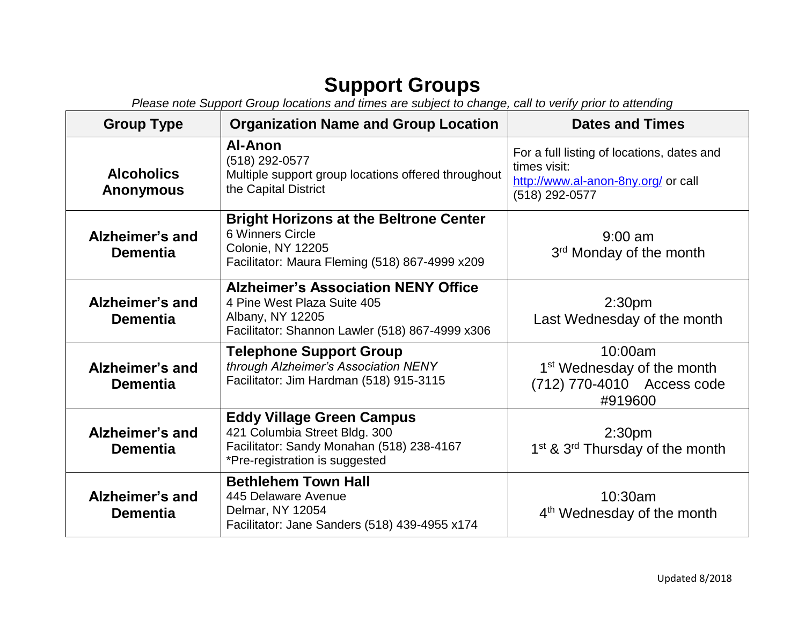## **Support Groups**

*Please note Support Group locations and times are subject to change, call to verify prior to attending* 

| <b>Group Type</b>                     | <b>Organization Name and Group Location</b>                                                                                                      | <b>Dates and Times</b>                                                                                              |
|---------------------------------------|--------------------------------------------------------------------------------------------------------------------------------------------------|---------------------------------------------------------------------------------------------------------------------|
| <b>Alcoholics</b><br><b>Anonymous</b> | Al-Anon<br>(518) 292-0577<br>Multiple support group locations offered throughout<br>the Capital District                                         | For a full listing of locations, dates and<br>times visit:<br>http://www.al-anon-8ny.org/ or call<br>(518) 292-0577 |
| Alzheimer's and<br><b>Dementia</b>    | <b>Bright Horizons at the Beltrone Center</b><br>6 Winners Circle<br>Colonie, NY 12205<br>Facilitator: Maura Fleming (518) 867-4999 x209         | $9:00$ am<br>3 <sup>rd</sup> Monday of the month                                                                    |
| Alzheimer's and<br><b>Dementia</b>    | <b>Alzheimer's Association NENY Office</b><br>4 Pine West Plaza Suite 405<br>Albany, NY 12205<br>Facilitator: Shannon Lawler (518) 867-4999 x306 | 2:30 <sub>pm</sub><br>Last Wednesday of the month                                                                   |
| Alzheimer's and<br><b>Dementia</b>    | <b>Telephone Support Group</b><br>through Alzheimer's Association NENY<br>Facilitator: Jim Hardman (518) 915-3115                                | 10:00am<br>1 <sup>st</sup> Wednesday of the month<br>(712) 770-4010 Access code<br>#919600                          |
| Alzheimer's and<br><b>Dementia</b>    | <b>Eddy Village Green Campus</b><br>421 Columbia Street Bldg. 300<br>Facilitator: Sandy Monahan (518) 238-4167<br>*Pre-registration is suggested | 2:30 <sub>pm</sub><br>1 <sup>st</sup> & 3 <sup>rd</sup> Thursday of the month                                       |
| Alzheimer's and<br><b>Dementia</b>    | <b>Bethlehem Town Hall</b><br>445 Delaware Avenue<br>Delmar, NY 12054<br>Facilitator: Jane Sanders (518) 439-4955 x174                           | 10:30am<br>4 <sup>th</sup> Wednesday of the month                                                                   |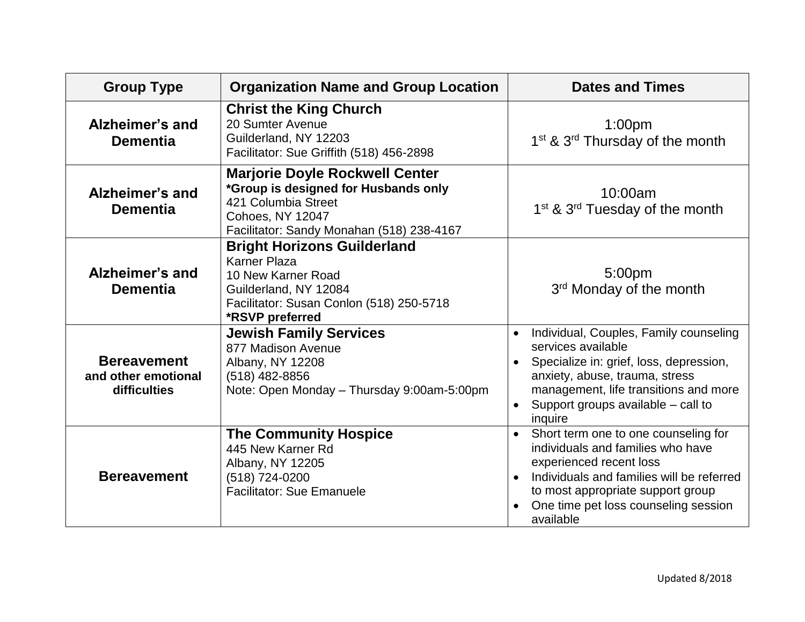| <b>Group Type</b>                                         | <b>Organization Name and Group Location</b>                                                                                                                             | <b>Dates and Times</b>                                                                                                                                                                                                                                   |
|-----------------------------------------------------------|-------------------------------------------------------------------------------------------------------------------------------------------------------------------------|----------------------------------------------------------------------------------------------------------------------------------------------------------------------------------------------------------------------------------------------------------|
| Alzheimer's and<br><b>Dementia</b>                        | <b>Christ the King Church</b><br>20 Sumter Avenue<br>Guilderland, NY 12203<br>Facilitator: Sue Griffith (518) 456-2898                                                  | 1:00 <sub>pm</sub><br>1 <sup>st</sup> & 3 <sup>rd</sup> Thursday of the month                                                                                                                                                                            |
| Alzheimer's and<br><b>Dementia</b>                        | <b>Marjorie Doyle Rockwell Center</b><br>*Group is designed for Husbands only<br>421 Columbia Street<br>Cohoes, NY 12047<br>Facilitator: Sandy Monahan (518) 238-4167   | 10:00am<br>1 <sup>st</sup> & 3 <sup>rd</sup> Tuesday of the month                                                                                                                                                                                        |
| Alzheimer's and<br><b>Dementia</b>                        | <b>Bright Horizons Guilderland</b><br><b>Karner Plaza</b><br>10 New Karner Road<br>Guilderland, NY 12084<br>Facilitator: Susan Conlon (518) 250-5718<br>*RSVP preferred | 5:00pm<br>3rd Monday of the month                                                                                                                                                                                                                        |
| <b>Bereavement</b><br>and other emotional<br>difficulties | <b>Jewish Family Services</b><br>877 Madison Avenue<br>Albany, NY 12208<br>(518) 482-8856<br>Note: Open Monday - Thursday 9:00am-5:00pm                                 | Individual, Couples, Family counseling<br>services available<br>Specialize in: grief, loss, depression,<br>anxiety, abuse, trauma, stress<br>management, life transitions and more<br>Support groups available – call to<br>inquire                      |
| <b>Bereavement</b>                                        | <b>The Community Hospice</b><br>445 New Karner Rd<br>Albany, NY 12205<br>(518) 724-0200<br><b>Facilitator: Sue Emanuele</b>                                             | Short term one to one counseling for<br>$\bullet$<br>individuals and families who have<br>experienced recent loss<br>Individuals and families will be referred<br>to most appropriate support group<br>One time pet loss counseling session<br>available |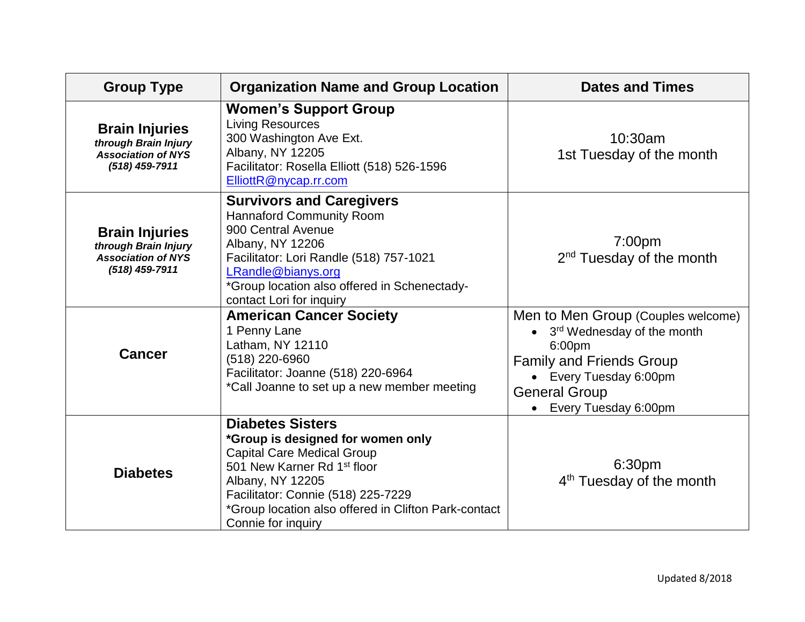| <b>Group Type</b>                                                                            | <b>Organization Name and Group Location</b>                                                                                                                                                                                                                                          | <b>Dates and Times</b>                                                                                                                                                                  |
|----------------------------------------------------------------------------------------------|--------------------------------------------------------------------------------------------------------------------------------------------------------------------------------------------------------------------------------------------------------------------------------------|-----------------------------------------------------------------------------------------------------------------------------------------------------------------------------------------|
| <b>Brain Injuries</b><br>through Brain Injury<br><b>Association of NYS</b><br>(518) 459-7911 | <b>Women's Support Group</b><br><b>Living Resources</b><br>300 Washington Ave Ext.<br>Albany, NY 12205<br>Facilitator: Rosella Elliott (518) 526-1596<br>ElliottR@nycap.rr.com                                                                                                       | 10:30am<br>1st Tuesday of the month                                                                                                                                                     |
| <b>Brain Injuries</b><br>through Brain Injury<br><b>Association of NYS</b><br>(518) 459-7911 | <b>Survivors and Caregivers</b><br><b>Hannaford Community Room</b><br>900 Central Avenue<br>Albany, NY 12206<br>Facilitator: Lori Randle (518) 757-1021<br>LRandle@bianys.org<br>*Group location also offered in Schenectady-<br>contact Lori for inquiry                            | 7:00pm<br>2 <sup>nd</sup> Tuesday of the month                                                                                                                                          |
| <b>Cancer</b>                                                                                | <b>American Cancer Society</b><br>1 Penny Lane<br>Latham, NY 12110<br>(518) 220-6960<br>Facilitator: Joanne (518) 220-6964<br>*Call Joanne to set up a new member meeting                                                                                                            | Men to Men Group (Couples welcome)<br>3rd Wednesday of the month<br>6:00pm<br><b>Family and Friends Group</b><br>• Every Tuesday 6:00pm<br><b>General Group</b><br>Every Tuesday 6:00pm |
| <b>Diabetes</b>                                                                              | <b>Diabetes Sisters</b><br>*Group is designed for women only<br><b>Capital Care Medical Group</b><br>501 New Karner Rd 1 <sup>st</sup> floor<br>Albany, NY 12205<br>Facilitator: Connie (518) 225-7229<br>*Group location also offered in Clifton Park-contact<br>Connie for inquiry | 6:30pm<br>4 <sup>th</sup> Tuesday of the month                                                                                                                                          |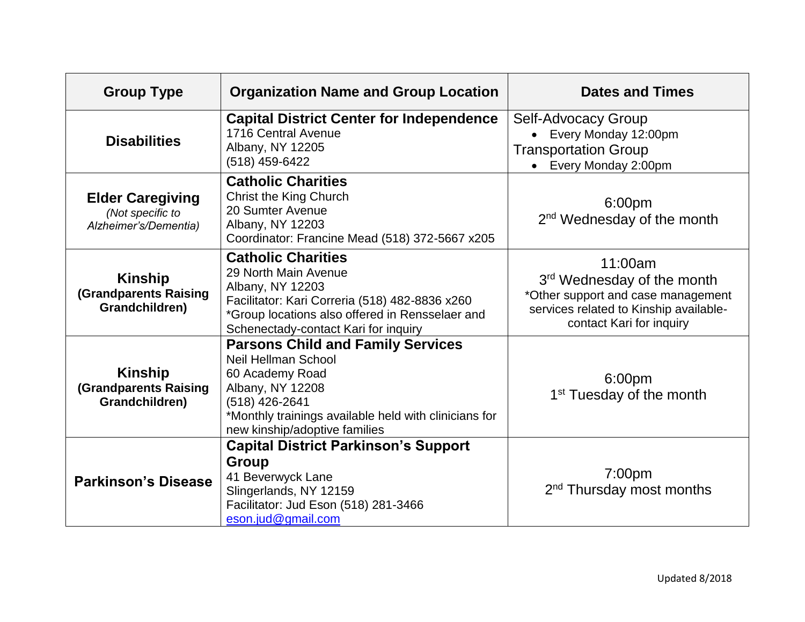| <b>Group Type</b>                                                    | <b>Organization Name and Group Location</b>                                                                                                                                                                               | <b>Dates and Times</b>                                                                                                                                        |
|----------------------------------------------------------------------|---------------------------------------------------------------------------------------------------------------------------------------------------------------------------------------------------------------------------|---------------------------------------------------------------------------------------------------------------------------------------------------------------|
| <b>Disabilities</b>                                                  | <b>Capital District Center for Independence</b><br>1716 Central Avenue<br>Albany, NY 12205<br>(518) 459-6422                                                                                                              | Self-Advocacy Group<br>• Every Monday 12:00pm<br><b>Transportation Group</b><br>• Every Monday 2:00pm                                                         |
| <b>Elder Caregiving</b><br>(Not specific to<br>Alzheimer's/Dementia) | <b>Catholic Charities</b><br><b>Christ the King Church</b><br>20 Sumter Avenue<br>Albany, NY 12203<br>Coordinator: Francine Mead (518) 372-5667 x205                                                                      | 6:00pm<br>2 <sup>nd</sup> Wednesday of the month                                                                                                              |
| <b>Kinship</b><br><b>(Grandparents Raising</b><br>Grandchildren)     | <b>Catholic Charities</b><br>29 North Main Avenue<br>Albany, NY 12203<br>Facilitator: Kari Correria (518) 482-8836 x260<br>*Group locations also offered in Rensselaer and<br>Schenectady-contact Kari for inquiry        | 11:00am<br>3 <sup>rd</sup> Wednesday of the month<br>*Other support and case management<br>services related to Kinship available-<br>contact Kari for inquiry |
| <b>Kinship</b><br><b>(Grandparents Raising</b><br>Grandchildren)     | <b>Parsons Child and Family Services</b><br><b>Neil Hellman School</b><br>60 Academy Road<br>Albany, NY 12208<br>(518) 426-2641<br>*Monthly trainings available held with clinicians for<br>new kinship/adoptive families | 6:00pm<br>1 <sup>st</sup> Tuesday of the month                                                                                                                |
| <b>Parkinson's Disease</b>                                           | <b>Capital District Parkinson's Support</b><br>Group<br>41 Beverwyck Lane<br>Slingerlands, NY 12159<br>Facilitator: Jud Eson (518) 281-3466<br>eson.jud@gmail.com                                                         | 7:00pm<br>$2nd$ Thursday most months                                                                                                                          |